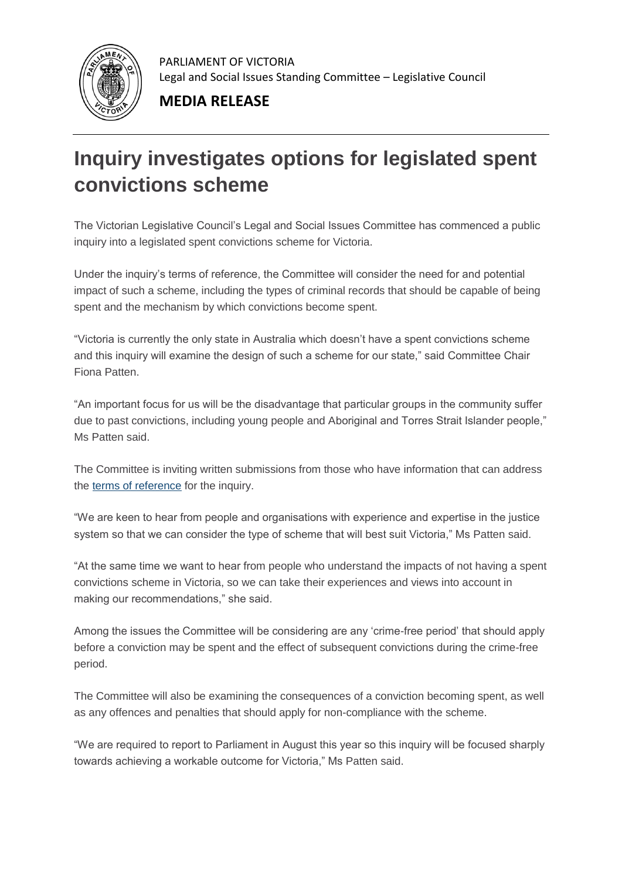

PARLIAMENT OF VICTORIA Legal and Social Issues Standing Committee – Legislative Council

## **MEDIA RELEASE**

## **Inquiry investigates options for legislated spent convictions scheme**

The Victorian Legislative Council's Legal and Social Issues Committee has commenced a public inquiry into a legislated spent convictions scheme for Victoria.

Under the inquiry's terms of reference, the Committee will consider the need for and potential impact of such a scheme, including the types of criminal records that should be capable of being spent and the mechanism by which convictions become spent.

"Victoria is currently the only state in Australia which doesn't have a spent convictions scheme and this inquiry will examine the design of such a scheme for our state," said Committee Chair Fiona Patten.

"An important focus for us will be the disadvantage that particular groups in the community suffer due to past convictions, including young people and Aboriginal and Torres Strait Islander people," Ms Patten said.

The Committee is inviting written submissions from those who have information that can address the [terms of reference](https://parliamentofvictoria.cmail19.com/t/t-l-bltjdtk-thbkjljt-r/) for the inquiry.

"We are keen to hear from people and organisations with experience and expertise in the justice system so that we can consider the type of scheme that will best suit Victoria," Ms Patten said.

"At the same time we want to hear from people who understand the impacts of not having a spent convictions scheme in Victoria, so we can take their experiences and views into account in making our recommendations," she said.

Among the issues the Committee will be considering are any 'crime-free period' that should apply before a conviction may be spent and the effect of subsequent convictions during the crime-free period.

The Committee will also be examining the consequences of a conviction becoming spent, as well as any offences and penalties that should apply for non-compliance with the scheme.

"We are required to report to Parliament in August this year so this inquiry will be focused sharply towards achieving a workable outcome for Victoria," Ms Patten said.